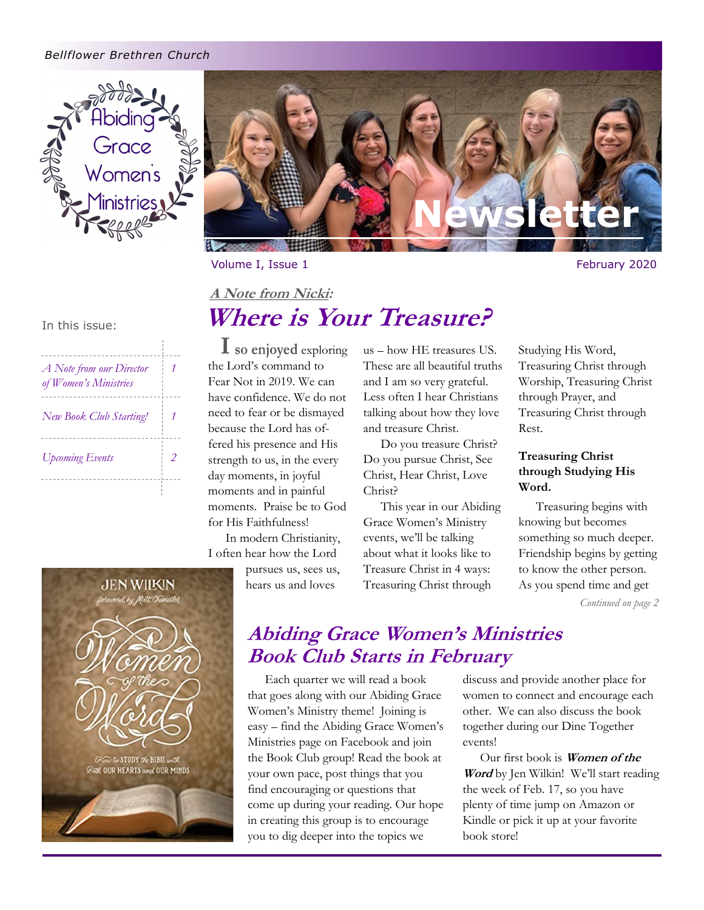#### *Bellflower Brethren Church*





Volume I, Issue 1 February 2020

# In this issue: **Where is Your Treasure?**

| A Note from our Director<br>of Women's Ministries |  |
|---------------------------------------------------|--|
| New Book Club Starting!                           |  |
| <b>Upcoming Events</b>                            |  |
|                                                   |  |

**I** so enjoyed exploring the Lord's command to Fear Not in 2019. We can have confidence. We do not need to fear or be dismayed because the Lord has offered his presence and His strength to us, in the every day moments, in joyful moments and in painful moments. Praise be to God for His Faithfulness!

**A Note from Nicki:**

In modern Christianity, I often hear how the Lord

pursues us, sees us, hears us and loves

us - how HE treasures US. These are all beautiful truths and I am so very grateful. Less often I hear Christians talking about how they love and treasure Christ.

Do you treasure Christ? Do you pursue Christ, See Christ, Hear Christ, Love Christ?

This year in our Abiding Grace Women's Ministry events, we'll be talking about what it looks like to Treasure Christ in 4 ways: Treasuring Christ through

Studying His Word, Treasuring Christ through Worship, Treasuring Christ through Prayer, and Treasuring Christ through Rest.

### **Treasuring Christ through Studying His Word.**

Treasuring begins with knowing but becomes something so much deeper. Friendship begins by getting to know the other person. As you spend time and get

*Continued on page 2*



# **Abiding Grace Women's Ministries Book Club Starts in February**

Each quarter we will read a book that goes along with our Abiding Grace Women's Ministry theme! Joining is easy - find the Abiding Grace Women's Ministries page on Facebook and join the Book Club group! Read the book at your own pace, post things that you find encouraging or questions that come up during your reading. Our hope in creating this group is to encourage you to dig deeper into the topics we

discuss and provide another place for women to connect and encourage each other. We can also discuss the book together during our Dine Together events!

Our first book is **Women of the Word** by Jen Wilkin! We'll start reading the week of Feb. 17, so you have plenty of time jump on Amazon or Kindle or pick it up at your favorite book store!